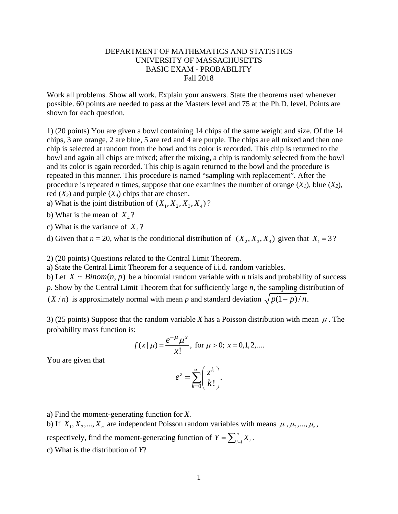## DEPARTMENT OF MATHEMATICS AND STATISTICS UNIVERSITY OF MASSACHUSETTS BASIC EXAM - PROBABILITY Fall 2018

Work all problems. Show all work. Explain your answers. State the theorems used whenever possible. 60 points are needed to pass at the Masters level and 75 at the Ph.D. level. Points are shown for each question.

1) (20 points) You are given a bowl containing 14 chips of the same weight and size. Of the 14 chips, 3 are orange, 2 are blue, 5 are red and 4 are purple. The chips are all mixed and then one chip is selected at random from the bowl and its color is recorded. This chip is returned to the bowl and again all chips are mixed; after the mixing, a chip is randomly selected from the bowl and its color is again recorded. This chip is again returned to the bowl and the procedure is repeated in this manner. This procedure is named "sampling with replacement". After the procedure is repeated *n* times, suppose that one examines the number of orange  $(X<sub>1</sub>)$ , blue  $(X<sub>2</sub>)$ , red  $(X_3)$  and purple  $(X_4)$  chips that are chosen.

a) What is the joint distribution of  $(X_1, X_2, X_3, X_4)$ ?

b) What is the mean of  $X_4$ ?

c) What is the variance of  $X_4$ ?

d) Given that  $n = 20$ , what is the conditional distribution of  $(X_2, X_3, X_4)$  given that  $X_1 = 3$ ?

2) (20 points) Questions related to the Central Limit Theorem.

a) State the Central Limit Theorem for a sequence of i.i.d. random variables.

b) Let  $X \sim Binom(n, p)$  be a binomial random variable with *n* trials and probability of success *p*. Show by the Central Limit Theorem that for sufficiently large *n*, the sampling distribution of  $(X/n)$  is approximately normal with mean *p* and standard deviation  $\sqrt{p(1-p)/n}$ .

3) (25 points) Suppose that the random variable *X* has a Poisson distribution with mean  $\mu$ . The probability mass function is:

$$
f(x | \mu) = \frac{e^{-\mu} \mu^x}{x!}
$$
, for  $\mu > 0$ ;  $x = 0, 1, 2,...$ 

You are given that

$$
e^z = \sum_{k=0}^{\infty} \left(\frac{z^k}{k!}\right).
$$

a) Find the moment-generating function for *X*.

b) If  $X_1, X_2, ..., X_n$  are independent Poisson random variables with means  $\mu_1, \mu_2, ..., \mu_n$ ,

respectively, find the moment-generating function of  $Y = \sum_{i=1}^{n}$  $Y = \sum_{i=1}^{n} X_i$ .

c) What is the distribution of *Y*?